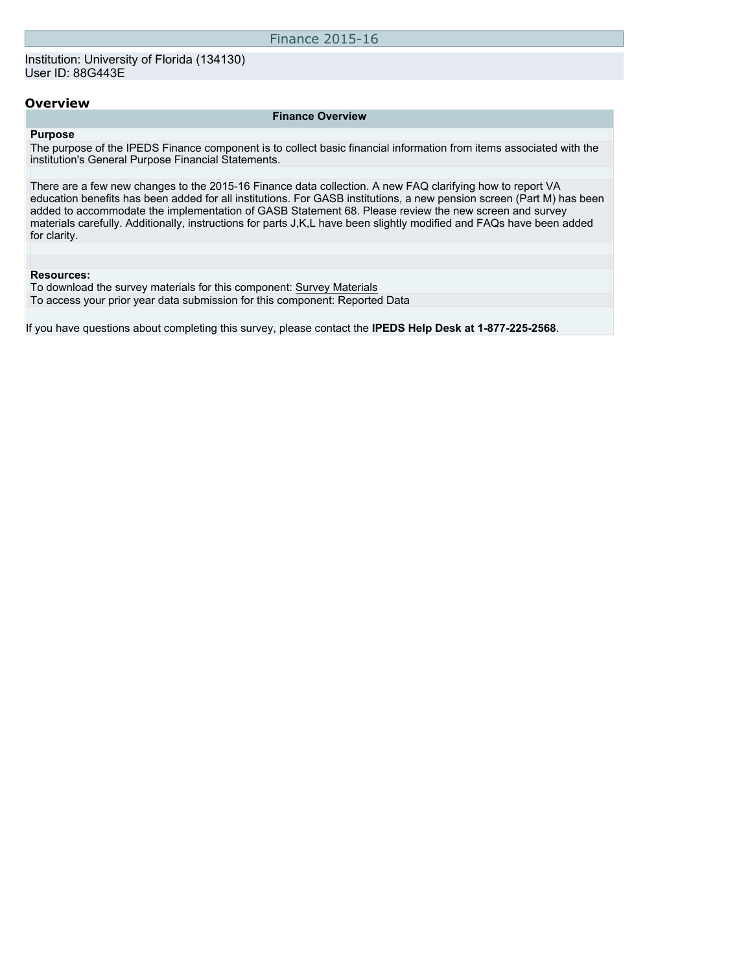# Finance 2015-16

### **Finance Overview**

### **Purpose**

The purpose of the IPEDS Finance component is to collect basic financial information from items associated with the institution's General Purpose Financial Statements.

There are a few new changes to the 2015-16 Finance data collection. A new FAQ clarifying how to report VA education benefits has been added for all institutions. For GASB institutions, a new pension screen (Part M) has been added to accommodate the implementation of GASB Statement 68. Please review the new screen and survey materials carefully. Additionally, instructions for parts J,K,L have been slightly modified and FAQs have been added for clarity.

#### **Resources:**

To download the survey materials for this component: Survey Materials To access your prior year data submission for this component: Reported Data

If you have questions about completing this survey, please contact the **IPEDS Help Desk at 1-877-225-2568**.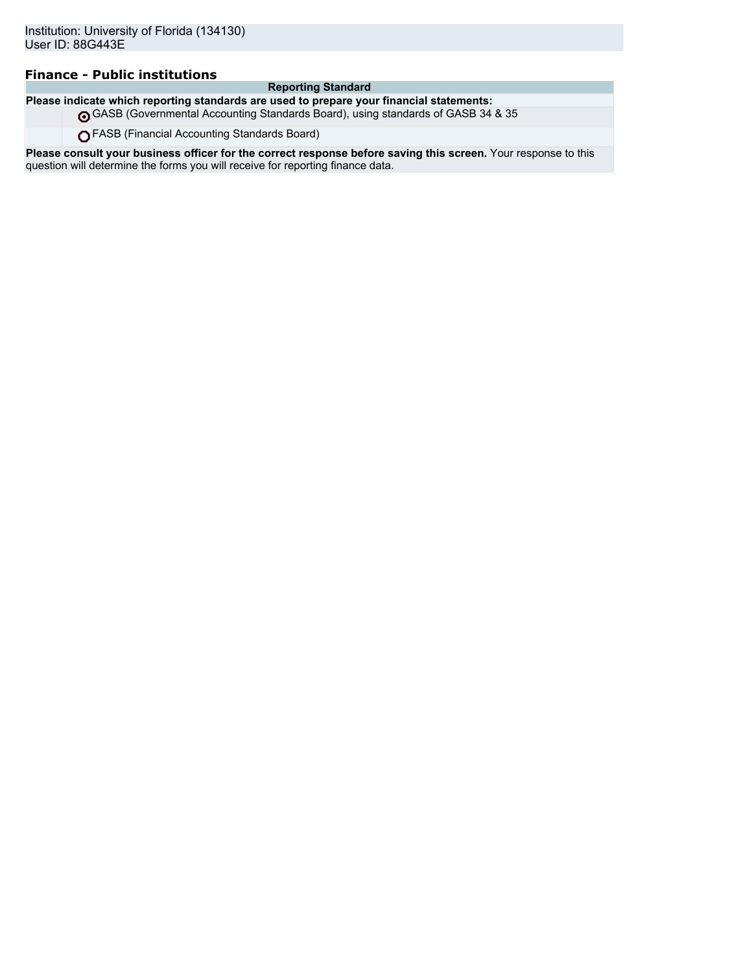### **Finance - Public institutions**

### **Reporting Standard**

**Please indicate which reporting standards are used to prepare your financial statements:** GASB (Governmental Accounting Standards Board), using standards of GASB 34 & 35

FASB (Financial Accounting Standards Board)

**Please consult your business officer for the correct response before saving this screen.** Your response to this question will determine the forms you will receive for reporting finance data.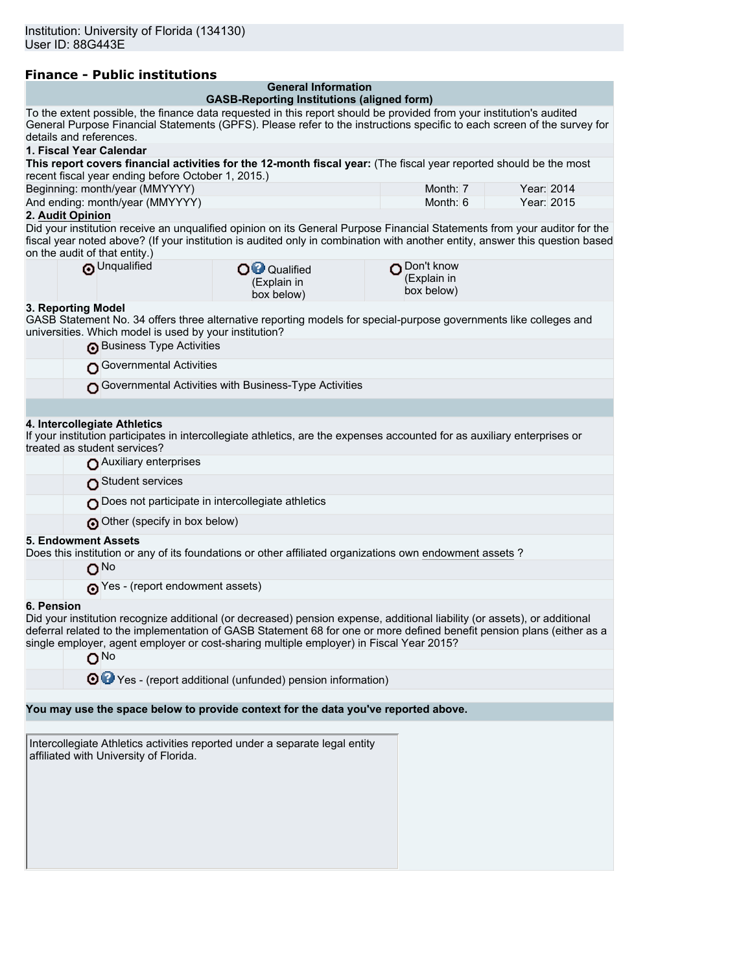| <b>Finance - Public institutions</b>               |                                           |                                                                                                                                                                                                                                                                                                                                                                                                                                                                                                                                                                                                                                                                                                                       |
|----------------------------------------------------|-------------------------------------------|-----------------------------------------------------------------------------------------------------------------------------------------------------------------------------------------------------------------------------------------------------------------------------------------------------------------------------------------------------------------------------------------------------------------------------------------------------------------------------------------------------------------------------------------------------------------------------------------------------------------------------------------------------------------------------------------------------------------------|
|                                                    |                                           |                                                                                                                                                                                                                                                                                                                                                                                                                                                                                                                                                                                                                                                                                                                       |
|                                                    |                                           |                                                                                                                                                                                                                                                                                                                                                                                                                                                                                                                                                                                                                                                                                                                       |
|                                                    |                                           |                                                                                                                                                                                                                                                                                                                                                                                                                                                                                                                                                                                                                                                                                                                       |
|                                                    |                                           |                                                                                                                                                                                                                                                                                                                                                                                                                                                                                                                                                                                                                                                                                                                       |
| recent fiscal year ending before October 1, 2015.) |                                           |                                                                                                                                                                                                                                                                                                                                                                                                                                                                                                                                                                                                                                                                                                                       |
|                                                    | Month: $7$                                | Year: 2014                                                                                                                                                                                                                                                                                                                                                                                                                                                                                                                                                                                                                                                                                                            |
|                                                    | Month: $6$                                | Year: 2015                                                                                                                                                                                                                                                                                                                                                                                                                                                                                                                                                                                                                                                                                                            |
|                                                    |                                           |                                                                                                                                                                                                                                                                                                                                                                                                                                                                                                                                                                                                                                                                                                                       |
|                                                    |                                           |                                                                                                                                                                                                                                                                                                                                                                                                                                                                                                                                                                                                                                                                                                                       |
| Qualified<br>(Explain in<br>box below)             | ∩ Don't know<br>(Explain in<br>box below) |                                                                                                                                                                                                                                                                                                                                                                                                                                                                                                                                                                                                                                                                                                                       |
|                                                    |                                           | <b>General Information</b><br><b>GASB-Reporting Institutions (aligned form)</b><br>To the extent possible, the finance data requested in this report should be provided from your institution's audited<br>General Purpose Financial Statements (GPFS). Please refer to the instructions specific to each screen of the survey for<br>This report covers financial activities for the 12-month fiscal year: (The fiscal year reported should be the most<br>Did your institution receive an unqualified opinion on its General Purpose Financial Statements from your auditor for the<br>fiscal year noted above? (If your institution is audited only in combination with another entity, answer this question based |

### **3. Reporting Model**

GASB Statement No. 34 offers three alternative reporting models for special-purpose governments like colleges and universities. Which model is used by your institution?

| <b>Business Type Activities</b>                       |
|-------------------------------------------------------|
| Governmental Activities                               |
| Governmental Activities with Business-Type Activities |
|                                                       |

#### **4. Intercollegiate Athletics**

If your institution participates in intercollegiate athletics, are the expenses accounted for as auxiliary enterprises or treated as student services?

| Auxiliary enterprises                                                                                                          |  |
|--------------------------------------------------------------------------------------------------------------------------------|--|
| Student services                                                                                                               |  |
| Does not participate in intercollegiate athletics                                                                              |  |
| Other (specify in box below)                                                                                                   |  |
| 5. Endowment Assets<br>Does this institution or any of its foundations or other affiliated organizations own endowment assets? |  |

# **5. Endow**

No

**O**Yes - (report endowment assets)

#### **6. Pension**

Did your institution recognize additional (or decreased) pension expense, additional liability (or assets), or additional deferral related to the implementation of GASB Statement 68 for one or more defined benefit pension plans (either as a single employer, agent employer or cost-sharing multiple employer) in Fiscal Year 2015?

### O<sub>No</sub>

O  $\bullet$  Yes - (report additional (unfunded) pension information)

#### **You may use the space below to provide context for the data you've reported above.**

Intercollegiate Athletics activities reported under a separate legal entity affiliated with University of Florida.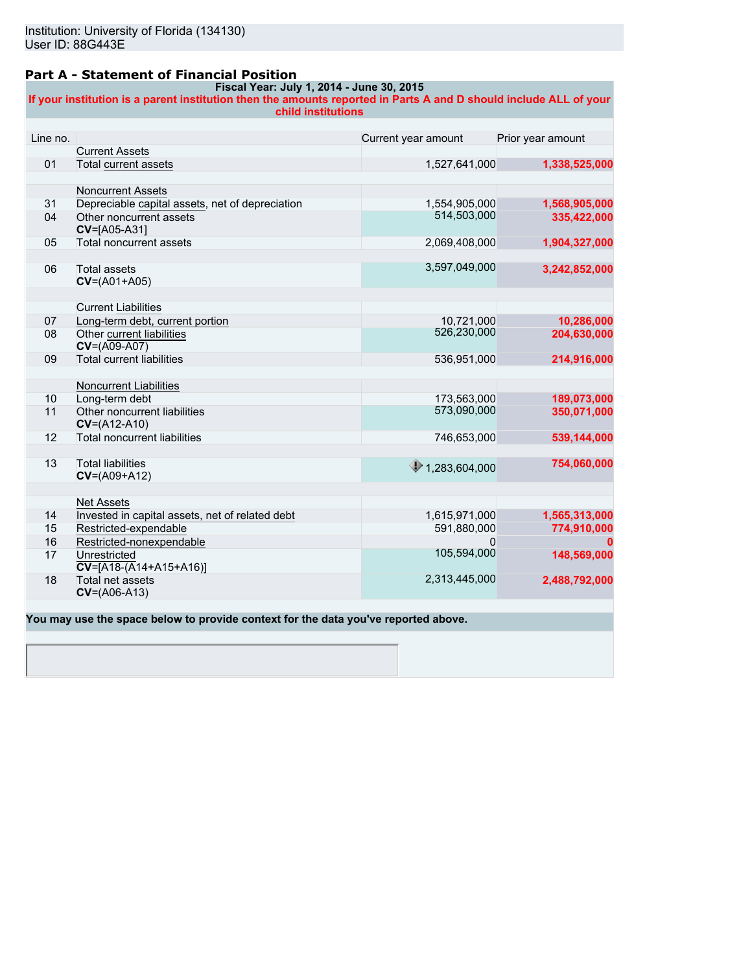### **Part A - Statement of Financial Position**

#### **Fiscal Year: July 1, 2014 - June 30, 2015 If your institution is a parent institution then the amounts reported in Parts A and D should include ALL of your child institutions**

| Line no. | <b>Current Assets</b>                           | Current year amount      | Prior year amount |
|----------|-------------------------------------------------|--------------------------|-------------------|
| 01       | <b>Total current assets</b>                     | 1,527,641,000            | 1,338,525,000     |
|          |                                                 |                          |                   |
|          | <b>Noncurrent Assets</b>                        |                          |                   |
| 31       | Depreciable capital assets, net of depreciation | 1,554,905,000            | 1,568,905,000     |
| 04       | Other noncurrent assets                         | 514,503,000              | 335,422,000       |
|          | CV=[A05-A31]                                    |                          |                   |
| 05       | Total noncurrent assets                         | 2,069,408,000            | 1,904,327,000     |
|          |                                                 |                          |                   |
| 06       | <b>Total assets</b>                             | 3,597,049,000            | 3,242,852,000     |
|          | $CV=(A01+A05)$                                  |                          |                   |
|          |                                                 |                          |                   |
|          | <b>Current Liabilities</b>                      |                          |                   |
| 07       | Long-term debt, current portion                 | 10,721,000               | 10,286,000        |
| 08       | Other current liabilities                       | 526,230,000              | 204,630,000       |
|          | $CV=(A09-A07)$                                  |                          |                   |
| 09       | <b>Total current liabilities</b>                | 536,951,000              | 214,916,000       |
|          |                                                 |                          |                   |
|          | Noncurrent Liabilities                          |                          |                   |
| 10       | Long-term debt                                  | 173,563,000              | 189,073,000       |
| 11       | Other noncurrent liabilities                    | 573,090,000              | 350.071.000       |
|          | $CV=(A12-A10)$                                  |                          |                   |
| 12       | <b>Total noncurrent liabilities</b>             | 746,653,000              | 539,144,000       |
|          |                                                 |                          |                   |
| 13       | <b>Total liabilities</b>                        | $\bigcirc$ 1,283,604,000 | 754,060,000       |
|          | $CV=(A09+A12)$                                  |                          |                   |
|          |                                                 |                          |                   |
|          | <b>Net Assets</b>                               |                          |                   |
| 14       | Invested in capital assets, net of related debt | 1,615,971,000            | 1,565,313,000     |
| 15       | Restricted-expendable                           | 591,880,000              | 774,910,000       |
| 16       | Restricted-nonexpendable                        | 0                        |                   |
| 17       | Unrestricted                                    | 105,594,000              | 148,569,000       |
|          | $\overline{CV}$ =[A18-(A14+A15+A16)]            |                          |                   |
| 18       | Total net assets                                | 2,313,445,000            | 2,488,792,000     |
|          | $CV=(A06-A13)$                                  |                          |                   |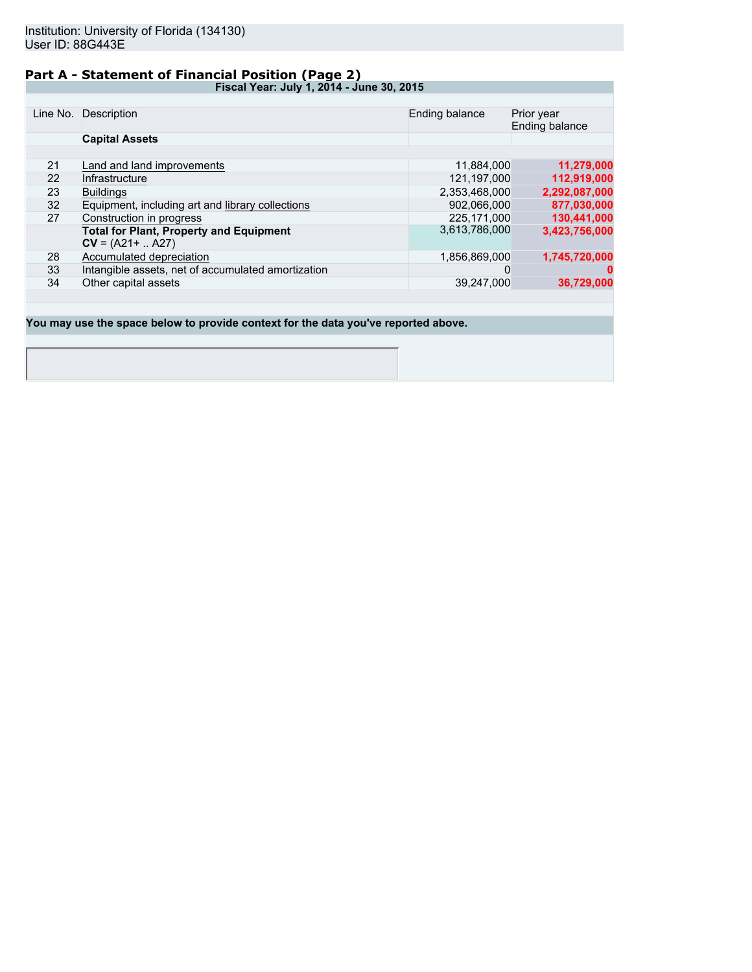# **Part A - Statement of Financial Position (Page 2)**

**Fiscal Year: July 1, 2014 - June 30, 2015**

|    | Line No. Description                               | Ending balance | Prior year<br>Ending balance |  |
|----|----------------------------------------------------|----------------|------------------------------|--|
|    | <b>Capital Assets</b>                              |                |                              |  |
|    |                                                    |                |                              |  |
| 21 | Land and land improvements                         | 11,884,000     | 11,279,000                   |  |
| 22 | Infrastructure                                     | 121.197.000    | 112,919,000                  |  |
| 23 | <b>Buildings</b>                                   | 2,353,468,000  | 2,292,087,000                |  |
| 32 | Equipment, including art and library collections   | 902.066.000    | 877,030,000                  |  |
| 27 | Construction in progress                           | 225.171.000    | 130,441,000                  |  |
|    | <b>Total for Plant, Property and Equipment</b>     | 3,613,786,000  | 3,423,756,000                |  |
|    | $CV = (A21 +  A27)$                                |                |                              |  |
| 28 | Accumulated depreciation                           | 1,856,869,000  | 1,745,720,000                |  |
| 33 | Intangible assets, net of accumulated amortization | 0              |                              |  |
| 34 | Other capital assets                               | 39.247.000     | 36,729,000                   |  |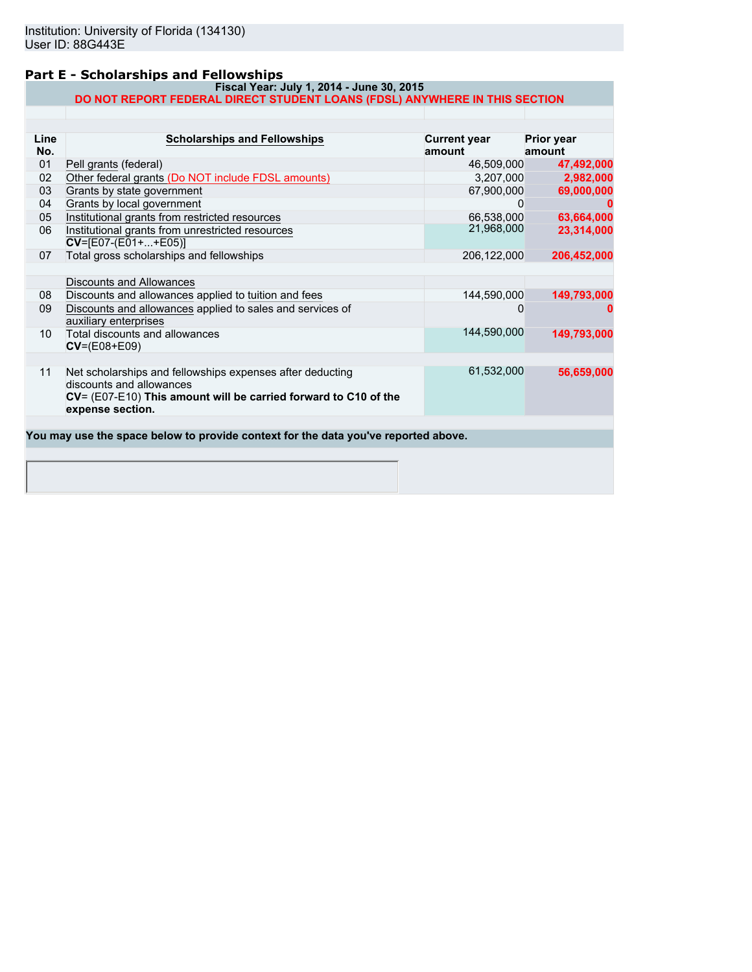### **Part E - Scholarships and Fellowships**

#### **Fiscal Year: July 1, 2014 - June 30, 2015 DO NOT REPORT FEDERAL DIRECT STUDENT LOANS (FDSL) ANYWHERE IN THIS SECTION**

| Line<br>No.     | <b>Scholarships and Fellowships</b>                                                                                                                                          | <b>Current year</b><br>amount | Prior year<br>amount |
|-----------------|------------------------------------------------------------------------------------------------------------------------------------------------------------------------------|-------------------------------|----------------------|
| 01              | Pell grants (federal)                                                                                                                                                        | 46,509,000                    | 47,492,000           |
| 02              | Other federal grants (Do NOT include FDSL amounts)                                                                                                                           | 3,207,000                     | 2,982,000            |
| 03              | Grants by state government                                                                                                                                                   | 67,900,000                    | 69,000,000           |
| 04              | Grants by local government                                                                                                                                                   |                               |                      |
| 05              | Institutional grants from restricted resources                                                                                                                               | 66,538,000                    | 63,664,000           |
| 06              | Institutional grants from unrestricted resources<br>$CV=[E07-(E01++E05)]$                                                                                                    | 21,968,000                    | 23,314,000           |
| 07              | Total gross scholarships and fellowships                                                                                                                                     | 206, 122, 000                 | 206,452,000          |
|                 |                                                                                                                                                                              |                               |                      |
|                 | Discounts and Allowances                                                                                                                                                     |                               |                      |
| 08              | Discounts and allowances applied to tuition and fees                                                                                                                         | 144,590,000                   | 149,793,000          |
| 09              | Discounts and allowances applied to sales and services of<br>auxiliary enterprises                                                                                           | 0                             |                      |
| 10 <sup>°</sup> | Total discounts and allowances<br>$CV=(E08+E09)$                                                                                                                             | 144,590,000                   | 149,793,000          |
| 11              | Net scholarships and fellowships expenses after deducting<br>discounts and allowances<br>CV= (E07-E10) This amount will be carried forward to C10 of the<br>expense section. | 61,532,000                    | 56,659,000           |
|                 | You may use the space below to provide context for the data you've reported above.                                                                                           |                               |                      |
|                 |                                                                                                                                                                              |                               |                      |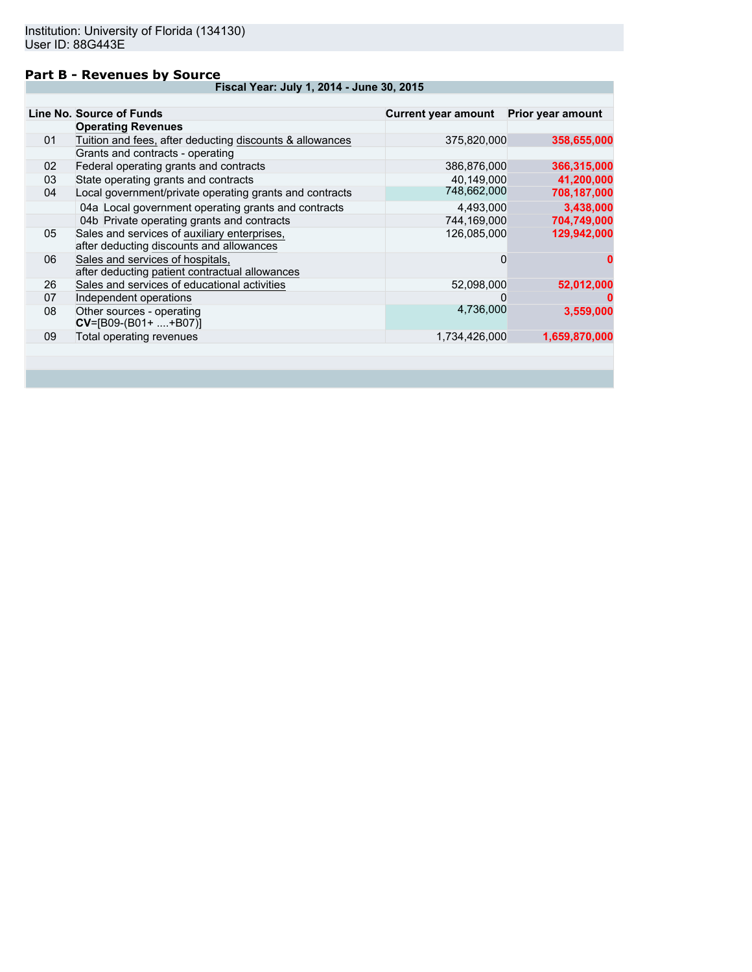### **Part B - Revenues by Source**

**Fiscal Year: July 1, 2014 - June 30, 2015**

|    | Line No. Source of Funds                                                                 | <b>Current year amount</b> | Prior year amount |
|----|------------------------------------------------------------------------------------------|----------------------------|-------------------|
|    | <b>Operating Revenues</b>                                                                |                            |                   |
| 01 | Tuition and fees, after deducting discounts & allowances                                 | 375,820,000                | 358,655,000       |
|    | Grants and contracts - operating                                                         |                            |                   |
| 02 | Federal operating grants and contracts                                                   | 386,876,000                | 366,315,000       |
| 03 | State operating grants and contracts                                                     | 40,149,000                 | 41,200,000        |
| 04 | Local government/private operating grants and contracts                                  | 748,662,000                | 708,187,000       |
|    | 04a Local government operating grants and contracts                                      | 4,493,000                  | 3,438,000         |
|    | 04b Private operating grants and contracts                                               | 744.169.000                | 704,749,000       |
| 05 | Sales and services of auxiliary enterprises,<br>after deducting discounts and allowances | 126,085,000                | 129,942,000       |
| 06 | Sales and services of hospitals,<br>after deducting patient contractual allowances       | 0                          | o                 |
| 26 | Sales and services of educational activities                                             | 52,098,000                 | 52,012,000        |
| 07 | Independent operations                                                                   | 0                          |                   |
| 08 | Other sources - operating<br>$CV=[B09-(B01++B07)]$                                       | 4,736,000                  | 3,559,000         |
| 09 | Total operating revenues                                                                 | 1,734,426,000              | 1,659,870,000     |
|    |                                                                                          |                            |                   |
|    |                                                                                          |                            |                   |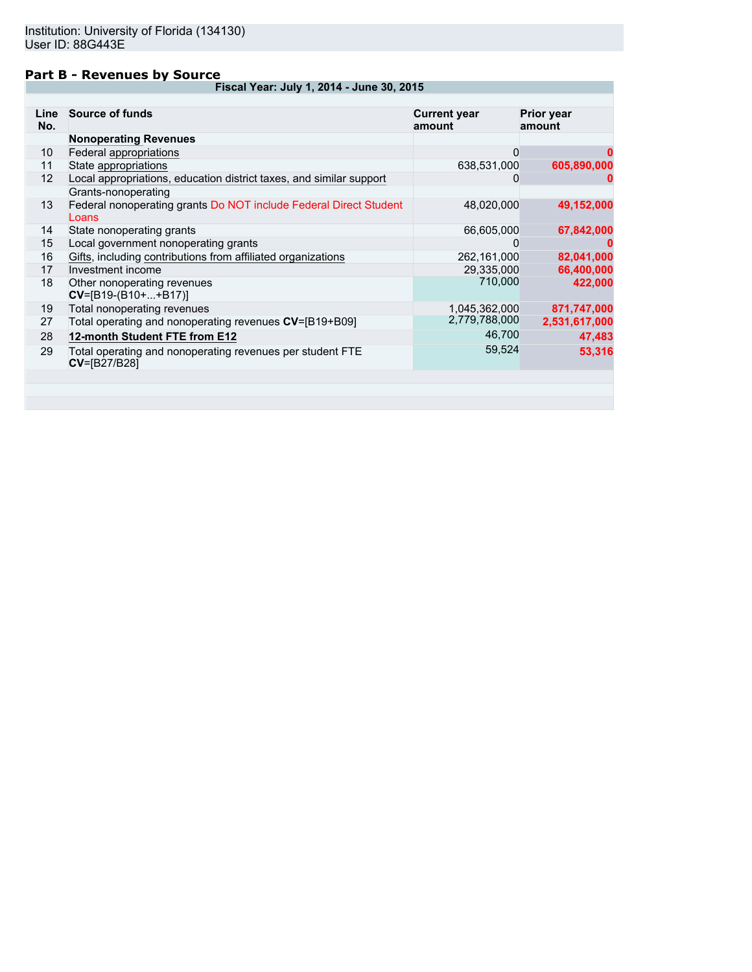### **Part B - Revenues by Source**

**Fiscal Year: July 1, 2014 - June 30, 2015**

| No. | Line Source of funds                                                             | <b>Current year</b><br>amount | <b>Prior year</b><br>amount |
|-----|----------------------------------------------------------------------------------|-------------------------------|-----------------------------|
|     | <b>Nonoperating Revenues</b>                                                     |                               |                             |
| 10  | Federal appropriations                                                           | 0                             |                             |
| 11  | State appropriations                                                             | 638,531,000                   | 605,890,000                 |
| 12  | Local appropriations, education district taxes, and similar support              | 0                             |                             |
|     | Grants-nonoperating                                                              |                               |                             |
| 13  | Federal nonoperating grants Do NOT include Federal Direct Student<br>Loans       | 48,020,000                    | 49,152,000                  |
| 14  | State nonoperating grants                                                        | 66,605,000                    | 67,842,000                  |
| 15  | Local government nonoperating grants                                             | $\mathbf{O}$                  | o                           |
| 16  | Gifts, including contributions from affiliated organizations                     | 262,161,000                   | 82,041,000                  |
| 17  | Investment income                                                                | 29,335,000                    | 66,400,000                  |
| 18  | Other nonoperating revenues<br>$CV=[B19-(B10++B17)]$                             | 710,000                       | 422,000                     |
| 19  | Total nonoperating revenues                                                      | 1,045,362,000                 | 871,747,000                 |
| 27  | Total operating and nonoperating revenues CV=[B19+B09]                           | 2,779,788,000                 | 2,531,617,000               |
| 28  | 12-month Student FTE from E12                                                    | 46,700                        | 47,483                      |
| 29  | Total operating and nonoperating revenues per student FTE<br><b>CV=[B27/B28]</b> | 59,524                        | 53,316                      |
|     |                                                                                  |                               |                             |
|     |                                                                                  |                               |                             |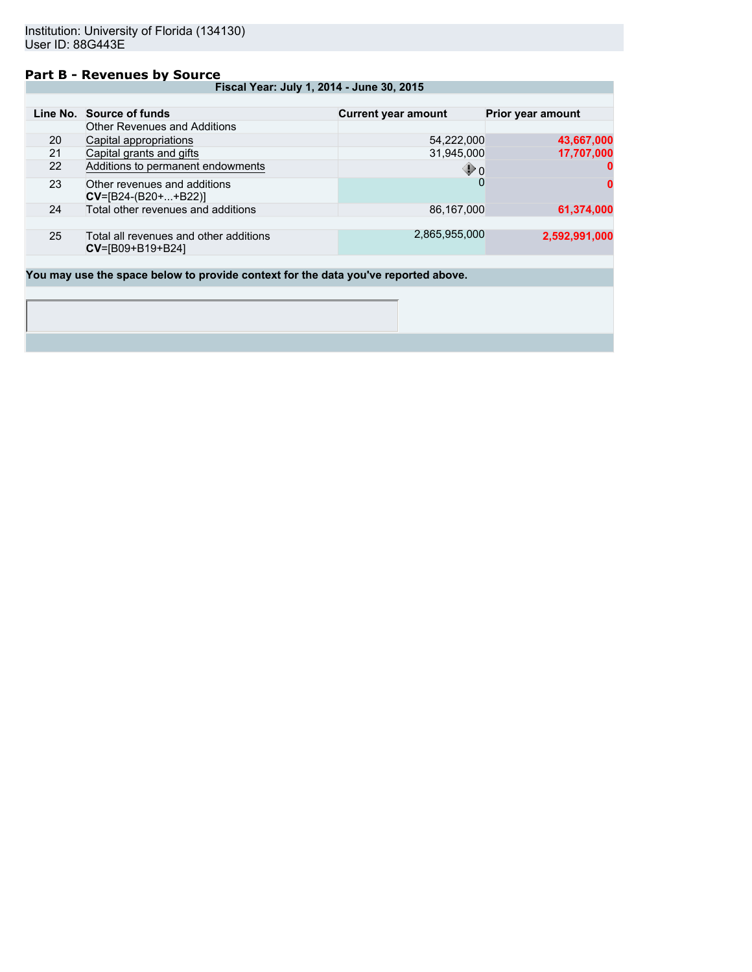### **Part B - Revenues by Source**

**Fiscal Year: July 1, 2014 - June 30, 2015**

|    | Line No. Source of funds                                           | <b>Current year amount</b> | <b>Prior year amount</b> |
|----|--------------------------------------------------------------------|----------------------------|--------------------------|
|    | <b>Other Revenues and Additions</b>                                |                            |                          |
| 20 | Capital appropriations                                             | 54,222,000                 | 43,667,000               |
| 21 | Capital grants and gifts                                           | 31,945,000                 | 17,707,000               |
| 22 | Additions to permanent endowments                                  | $\mathbf{\Phi}$ 0          |                          |
| 23 | Other revenues and additions<br>$CV=[B24-(B20++B22)]$              |                            | 0                        |
| 24 | Total other revenues and additions                                 | 86,167,000                 | 61,374,000               |
|    |                                                                    |                            |                          |
| 25 | Total all revenues and other additions<br>$CV = [B09 + B19 + B24]$ | 2,865,955,000              | 2,592,991,000            |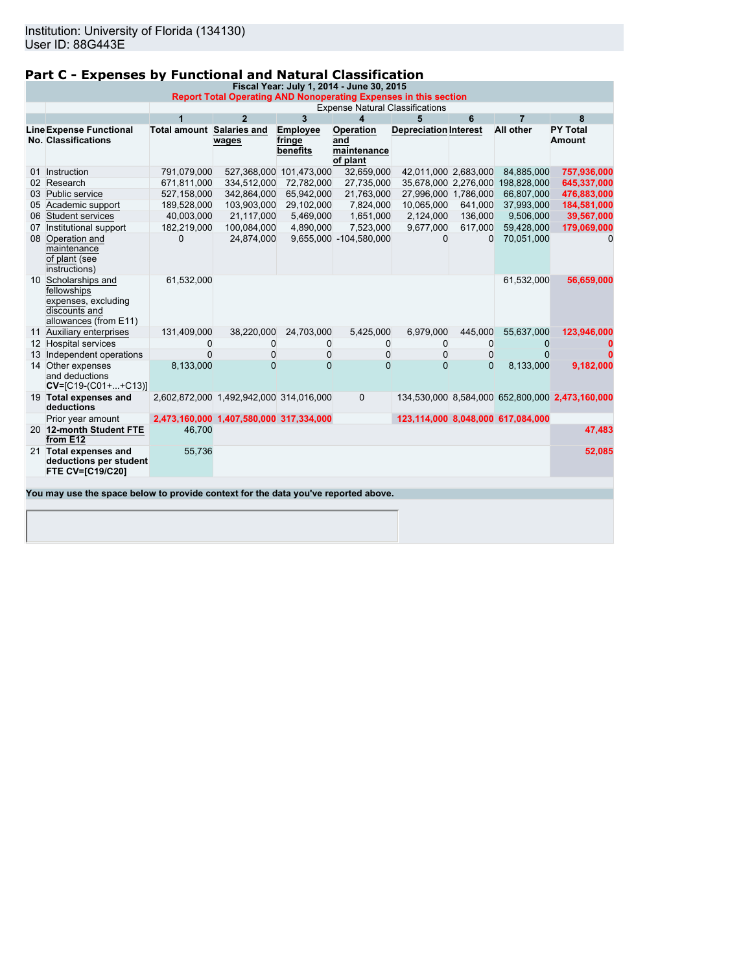# **Part C - Expenses by Functional and Natural Classification**

| Fiscal Year: July 1, 2014 - June 30, 2015 |                                                                                                            |                                  |                                         |                                       |                                             |                              |          |                                   |                                                 |
|-------------------------------------------|------------------------------------------------------------------------------------------------------------|----------------------------------|-----------------------------------------|---------------------------------------|---------------------------------------------|------------------------------|----------|-----------------------------------|-------------------------------------------------|
|                                           | Report Total Operating AND Nonoperating Expenses in this section<br><b>Expense Natural Classifications</b> |                                  |                                         |                                       |                                             |                              |          |                                   |                                                 |
|                                           |                                                                                                            | $\overline{1}$                   | $\overline{2}$                          | 3                                     | 4                                           | 5                            | 6        | $\overline{7}$                    | 8                                               |
|                                           |                                                                                                            | <b>Total amount Salaries and</b> |                                         |                                       |                                             |                              |          | <b>All other</b>                  | <b>PY Total</b>                                 |
|                                           | <b>Line Expense Functional</b><br><b>No. Classifications</b>                                               |                                  | wages                                   | <b>Employee</b><br>fringe<br>benefits | Operation<br>and<br>maintenance<br>of plant | <b>Depreciation Interest</b> |          |                                   | Amount                                          |
|                                           | 01 Instruction                                                                                             | 791,079,000                      |                                         | 527,368,000 101,473,000               | 32,659,000                                  | 42,011,000 2,683,000         |          | 84,885,000                        | 757,936,000                                     |
|                                           | 02 Research                                                                                                | 671,811,000                      | 334,512,000                             | 72,782,000                            | 27,735,000                                  |                              |          | 35,678,000 2,276,000 198,828,000  | 645,337,000                                     |
|                                           | 03 Public service                                                                                          | 527,158,000                      | 342,864,000                             | 65,942,000                            | 21,763,000                                  | 27,996,000 1,786,000         |          | 66,807,000                        | 476,883,000                                     |
|                                           | 05 Academic support                                                                                        | 189,528,000                      | 103,903,000                             | 29,102,000                            | 7,824,000                                   | 10,065,000                   | 641,000  | 37,993,000                        | 184,581,000                                     |
|                                           | 06 Student services                                                                                        | 40,003,000                       | 21,117,000                              | 5,469,000                             | 1,651,000                                   | 2,124,000                    | 136,000  | 9,506,000                         | 39,567,000                                      |
| 07                                        | Institutional support                                                                                      | 182,219,000                      | 100,084,000                             | 4,890,000                             | 7,523,000                                   | 9,677,000                    | 617,000  | 59,428,000                        | 179,069,000                                     |
|                                           | 08 Operation and<br>maintenance<br>of plant (see<br>instructions)                                          | $\Omega$                         | 24,874,000                              |                                       | 9,655,000 -104,580,000                      | $\Omega$                     | $\Omega$ | 70,051,000                        | $\Omega$                                        |
|                                           | 10 Scholarships and<br>fellowships<br>expenses, excluding<br>discounts and<br>allowances (from E11)        | 61,532,000                       |                                         |                                       |                                             |                              |          | 61,532,000                        | 56,659,000                                      |
|                                           | 11 Auxiliary enterprises                                                                                   | 131,409,000                      | 38,220,000                              | 24,703,000                            | 5,425,000                                   | 6,979,000                    | 445,000  | 55,637,000                        | 123,946,000                                     |
|                                           | 12 Hospital services                                                                                       | $\Omega$                         | $\mathbf{0}$                            | $\Omega$                              | $\Omega$                                    | $\Omega$                     | $\Omega$ | $\Omega$                          |                                                 |
|                                           | 13 Independent operations                                                                                  | $\Omega$                         | $\mathbf 0$                             | $\mathbf 0$                           | $\mathbf 0$                                 | 0                            | 0        | $\Omega$                          |                                                 |
|                                           | 14 Other expenses<br>and deductions<br>$CV=[C19-(C01++C13)]$                                               | 8,133,000                        | $\Omega$                                | $\Omega$                              | $\Omega$                                    | $\Omega$                     | $\Omega$ | 8,133,000                         | 9,182,000                                       |
|                                           | 19 Total expenses and<br>deductions                                                                        |                                  | 2,602,872,000 1,492,942,000 314,016,000 |                                       | $\mathbf 0$                                 |                              |          |                                   | 134,530,000 8,584,000 652,800,000 2,473,160,000 |
|                                           | Prior year amount                                                                                          |                                  | 2,473,160,000 1,407,580,000 317,334,000 |                                       |                                             |                              |          | 123,114,000 8,048,000 617,084,000 |                                                 |
|                                           | 20 12-month Student FTE<br>from E12                                                                        | 46,700                           |                                         |                                       |                                             |                              |          |                                   | 47,483                                          |
|                                           | 21 Total expenses and<br>deductions per student<br><b>FTE CV=[C19/C20]</b>                                 | 55,736                           |                                         |                                       |                                             |                              |          |                                   | 52,085                                          |
|                                           |                                                                                                            |                                  |                                         |                                       |                                             |                              |          |                                   |                                                 |
|                                           | You may use the space below to provide context for the data you've reported above.                         |                                  |                                         |                                       |                                             |                              |          |                                   |                                                 |
|                                           |                                                                                                            |                                  |                                         |                                       |                                             |                              |          |                                   |                                                 |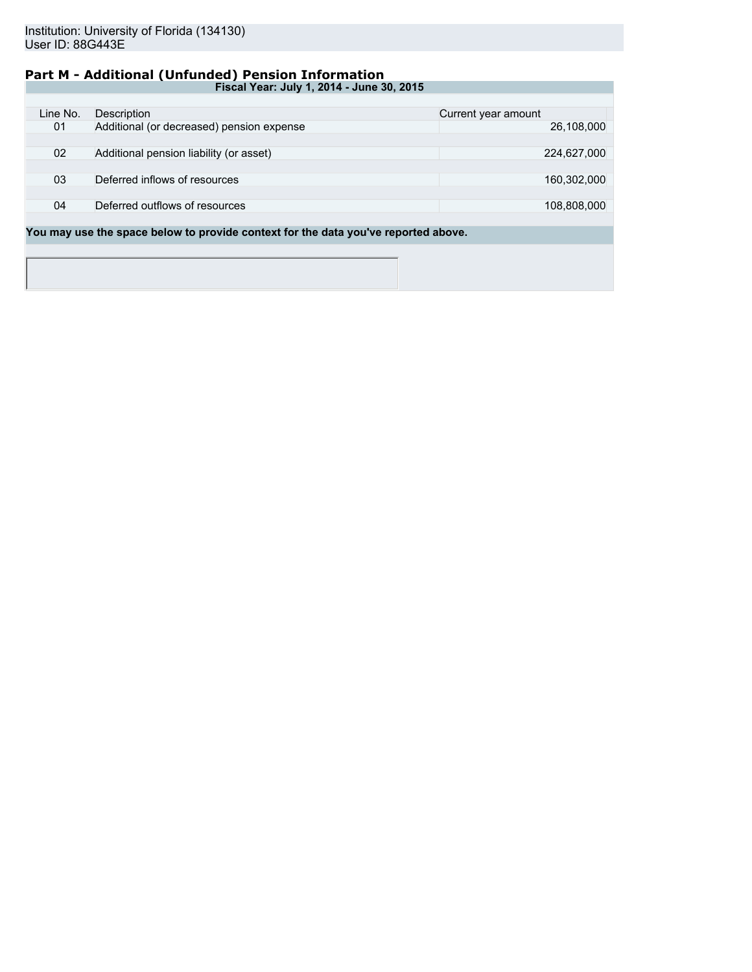# **Part M - Additional (Unfunded) Pension Information**

| Fiscal Year: July 1, 2014 - June 30, 2015 |                                           |                     |  |  |  |
|-------------------------------------------|-------------------------------------------|---------------------|--|--|--|
|                                           |                                           |                     |  |  |  |
| Line No.                                  | Description                               | Current year amount |  |  |  |
| 01                                        | Additional (or decreased) pension expense | 26,108,000          |  |  |  |
|                                           |                                           |                     |  |  |  |
| 02                                        | Additional pension liability (or asset)   | 224,627,000         |  |  |  |
|                                           |                                           |                     |  |  |  |
| 03                                        | Deferred inflows of resources             | 160,302,000         |  |  |  |
|                                           |                                           |                     |  |  |  |
| 04                                        | Deferred outflows of resources            | 108,808,000         |  |  |  |
|                                           |                                           |                     |  |  |  |
|                                           |                                           |                     |  |  |  |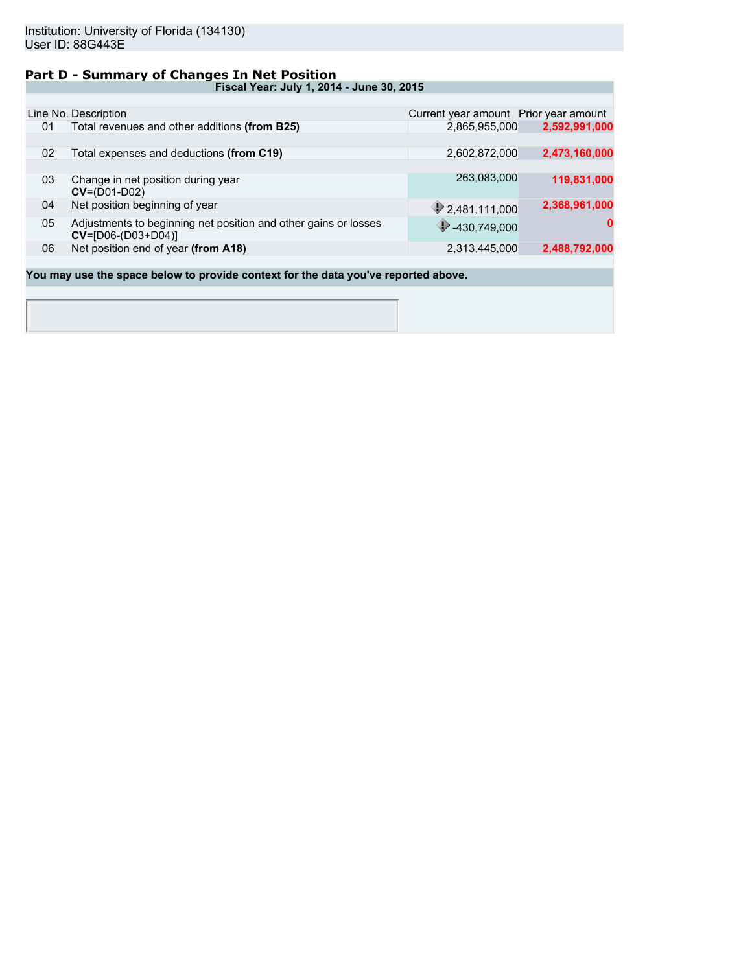### **Part D - Summary of Changes In Net Position**

**Fiscal Year: July 1, 2014 - June 30, 2015**

|    | Line No. Description                                                                      | Current year amount Prior year amount |               |
|----|-------------------------------------------------------------------------------------------|---------------------------------------|---------------|
| 01 | Total revenues and other additions (from B25)                                             | 2,865,955,000                         | 2,592,991,000 |
|    |                                                                                           |                                       |               |
| 02 | Total expenses and deductions (from C19)                                                  | 2,602,872,000                         | 2,473,160,000 |
|    |                                                                                           |                                       |               |
| 03 | Change in net position during year<br>$CV = (D01-D02)$                                    | 263,083,000                           | 119,831,000   |
| 04 | Net position beginning of year                                                            | 2,481,111,000                         | 2,368,961,000 |
| 05 | Adjustments to beginning net position and other gains or losses<br>$CV = [D06-(D03+D04)]$ | 430,749,000                           | 0             |
| 06 | Net position end of year (from A18)                                                       | 2,313,445,000                         | 2,488,792,000 |
|    |                                                                                           |                                       |               |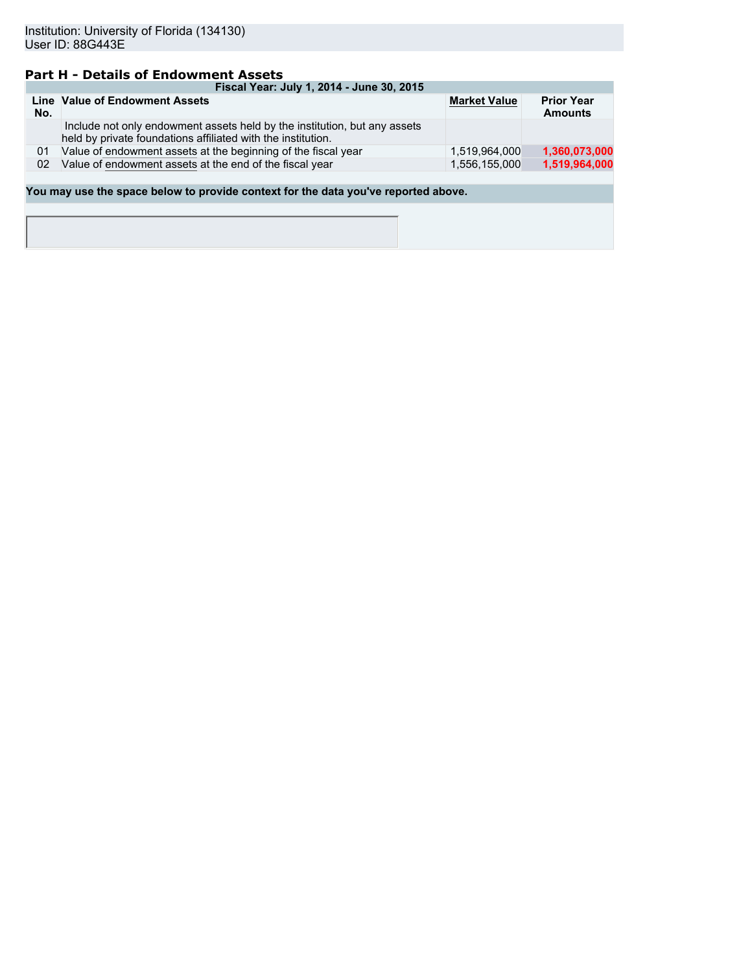# **Part H - Details of Endowment Assets**

| Fiscal Year: July 1, 2014 - June 30, 2015 |                                                                                                                                           |                     |                                     |  |  |  |
|-------------------------------------------|-------------------------------------------------------------------------------------------------------------------------------------------|---------------------|-------------------------------------|--|--|--|
| No.                                       | Line Value of Endowment Assets                                                                                                            | <b>Market Value</b> | <b>Prior Year</b><br><b>Amounts</b> |  |  |  |
|                                           | Include not only endowment assets held by the institution, but any assets<br>held by private foundations affiliated with the institution. |                     |                                     |  |  |  |
| 01                                        | Value of endowment assets at the beginning of the fiscal year                                                                             | 1.519.964.000       | 1,360,073,000                       |  |  |  |
| 02                                        | Value of endowment assets at the end of the fiscal year                                                                                   | 1.556.155.000       | 1,519,964,000                       |  |  |  |
|                                           |                                                                                                                                           |                     |                                     |  |  |  |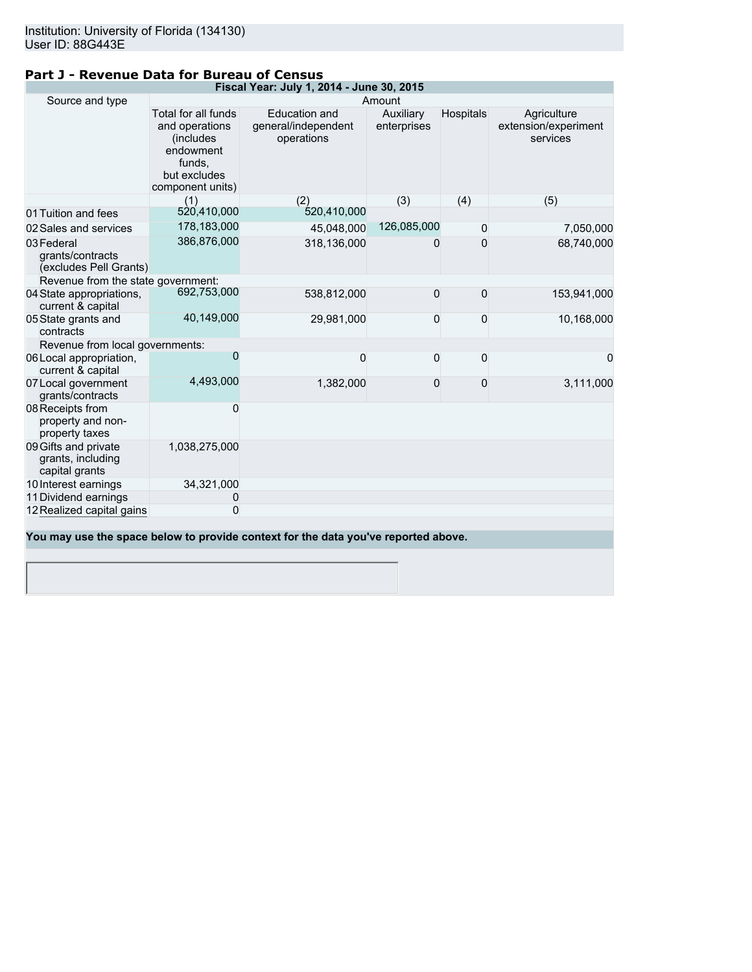|--|

| Fiscal Year: July 1, 2014 - June 30, 2015                   |                                                                                                                |                                                                                    |                          |                  |                                                 |  |  |
|-------------------------------------------------------------|----------------------------------------------------------------------------------------------------------------|------------------------------------------------------------------------------------|--------------------------|------------------|-------------------------------------------------|--|--|
| Source and type<br>Amount                                   |                                                                                                                |                                                                                    |                          |                  |                                                 |  |  |
|                                                             | Total for all funds<br>and operations<br>(includes)<br>endowment<br>funds,<br>but excludes<br>component units) | <b>Education and</b><br>general/independent<br>operations                          | Auxiliary<br>enterprises | <b>Hospitals</b> | Agriculture<br>extension/experiment<br>services |  |  |
|                                                             | (1)                                                                                                            | (2)                                                                                | (3)                      | (4)              | (5)                                             |  |  |
| 01 Tuition and fees                                         | 520,410,000                                                                                                    | 520,410,000                                                                        |                          |                  |                                                 |  |  |
| 02 Sales and services                                       | 178,183,000                                                                                                    | 45,048,000                                                                         | 126,085,000              | $\mathbf 0$      | 7,050,000                                       |  |  |
| 03 Federal<br>grants/contracts<br>(excludes Pell Grants)    | 386,876,000                                                                                                    | 318,136,000                                                                        | 0                        | $\Omega$         | 68,740,000                                      |  |  |
| Revenue from the state government:                          |                                                                                                                |                                                                                    |                          |                  |                                                 |  |  |
| 04 State appropriations,<br>current & capital               | 692,753,000                                                                                                    | 538,812,000                                                                        | $\bf 0$                  | $\bf 0$          | 153,941,000                                     |  |  |
| 05 State grants and<br>contracts                            | 40,149,000                                                                                                     | 29,981,000                                                                         | $\mathbf 0$              | 0                | 10,168,000                                      |  |  |
| Revenue from local governments:                             |                                                                                                                |                                                                                    |                          |                  |                                                 |  |  |
| 06 Local appropriation,<br>current & capital                | 0                                                                                                              | 0                                                                                  | $\mathbf 0$              | $\mathbf 0$      | 0                                               |  |  |
| 07 Local government<br>grants/contracts                     | 4,493,000                                                                                                      | 1,382,000                                                                          | $\mathbf 0$              | 0                | 3,111,000                                       |  |  |
| 08 Receipts from<br>property and non-<br>property taxes     | 0                                                                                                              |                                                                                    |                          |                  |                                                 |  |  |
| 09 Gifts and private<br>grants, including<br>capital grants | 1,038,275,000                                                                                                  |                                                                                    |                          |                  |                                                 |  |  |
| 10 Interest earnings                                        | 34,321,000                                                                                                     |                                                                                    |                          |                  |                                                 |  |  |
| 11 Dividend earnings                                        | 0                                                                                                              |                                                                                    |                          |                  |                                                 |  |  |
| 12 Realized capital gains                                   | 0                                                                                                              |                                                                                    |                          |                  |                                                 |  |  |
|                                                             |                                                                                                                |                                                                                    |                          |                  |                                                 |  |  |
|                                                             |                                                                                                                | You may use the space below to provide context for the data you've reported above. |                          |                  |                                                 |  |  |
|                                                             |                                                                                                                |                                                                                    |                          |                  |                                                 |  |  |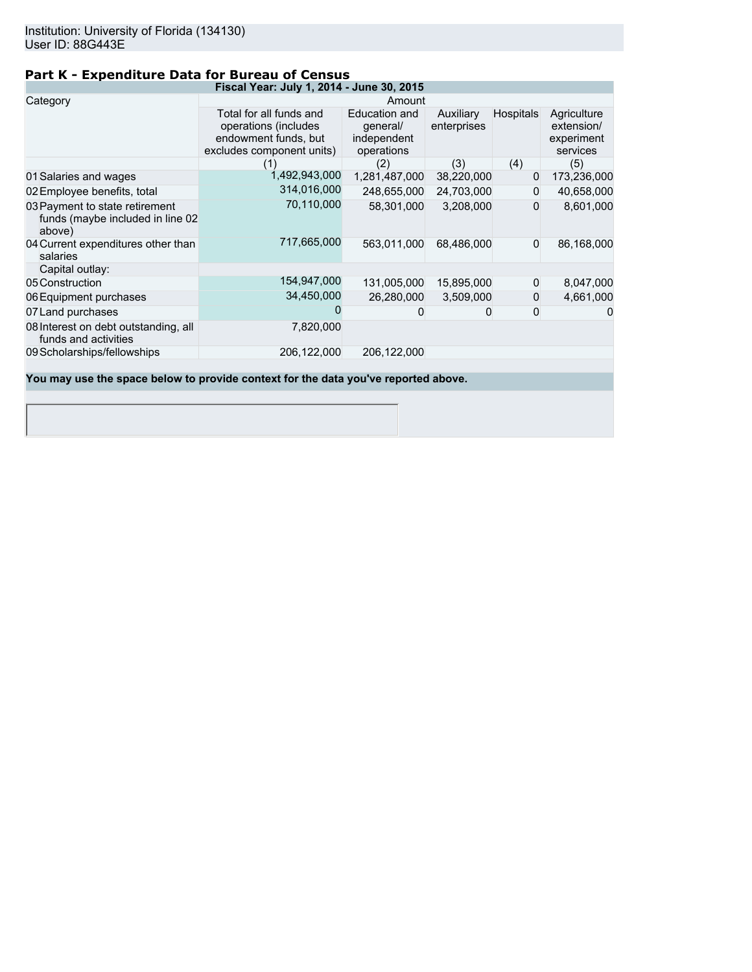# **Part K - Expenditure Data for Bureau of Census**

| Fiscal Year: July 1, 2014 - June 30, 2015                                    |                                                                                                      |                                                        |                          |                  |                                                     |  |
|------------------------------------------------------------------------------|------------------------------------------------------------------------------------------------------|--------------------------------------------------------|--------------------------|------------------|-----------------------------------------------------|--|
| Category                                                                     | Amount                                                                                               |                                                        |                          |                  |                                                     |  |
|                                                                              | Total for all funds and<br>operations (includes<br>endowment funds, but<br>excludes component units) | Education and<br>general/<br>independent<br>operations | Auxiliary<br>enterprises | <b>Hospitals</b> | Agriculture<br>extension/<br>experiment<br>services |  |
|                                                                              | (1)                                                                                                  | (2)                                                    | (3)                      | (4)              | (5)                                                 |  |
| 01 Salaries and wages                                                        | 1,492,943,000                                                                                        | 1,281,487,000                                          | 38,220,000               | 0                | 173,236,000                                         |  |
| 02 Employee benefits, total                                                  | 314,016,000                                                                                          | 248,655,000                                            | 24,703,000               | $\Omega$         | 40,658,000                                          |  |
| 03 Payment to state retirement<br>funds (maybe included in line 02<br>above) | 70,110,000                                                                                           | 58,301,000                                             | 3,208,000                | 0                | 8,601,000                                           |  |
| 04 Current expenditures other than<br>salaries                               | 717,665,000                                                                                          | 563,011,000                                            | 68,486,000               | $\Omega$         | 86,168,000                                          |  |
| Capital outlay:                                                              |                                                                                                      |                                                        |                          |                  |                                                     |  |
| 05 Construction                                                              | 154,947,000                                                                                          | 131,005,000                                            | 15,895,000               | $\Omega$         | 8,047,000                                           |  |
| 06 Equipment purchases                                                       | 34,450,000                                                                                           | 26,280,000                                             | 3,509,000                | 0                | 4,661,000                                           |  |
| 07 Land purchases                                                            |                                                                                                      | 0                                                      |                          | 0                | $\Omega$                                            |  |
| 08 Interest on debt outstanding, all<br>funds and activities                 | 7,820,000                                                                                            |                                                        |                          |                  |                                                     |  |
| 09 Scholarships/fellowships                                                  | 206,122,000                                                                                          | 206,122,000                                            |                          |                  |                                                     |  |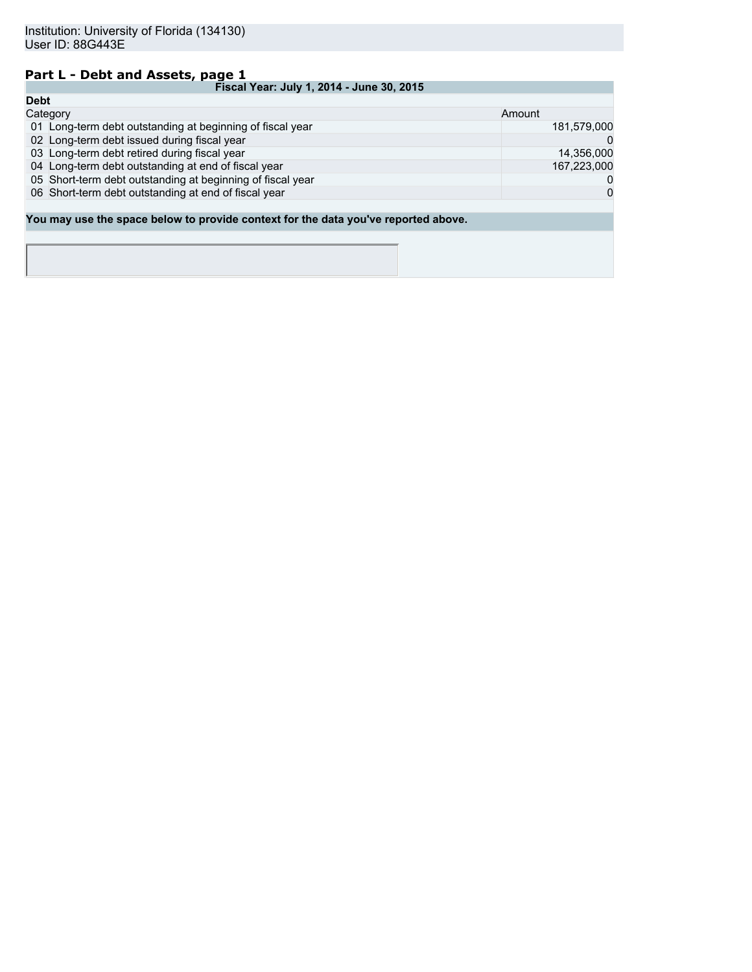### **Part L - Debt and Assets, page 1**

|             | Fiscal Year: July 1, 2014 - June 30, 2015                                          |             |  |  |  |
|-------------|------------------------------------------------------------------------------------|-------------|--|--|--|
| <b>Debt</b> |                                                                                    |             |  |  |  |
|             | Category                                                                           | Amount      |  |  |  |
|             | 01 Long-term debt outstanding at beginning of fiscal year                          | 181,579,000 |  |  |  |
|             | 02 Long-term debt issued during fiscal year                                        | $\Omega$    |  |  |  |
|             | 03 Long-term debt retired during fiscal year                                       | 14,356,000  |  |  |  |
|             | 04 Long-term debt outstanding at end of fiscal year                                | 167,223,000 |  |  |  |
|             | 05 Short-term debt outstanding at beginning of fiscal year                         | 0           |  |  |  |
|             | 06 Short-term debt outstanding at end of fiscal year                               | $\Omega$    |  |  |  |
|             |                                                                                    |             |  |  |  |
|             | You may use the space below to provide context for the data you've reported above. |             |  |  |  |
|             |                                                                                    |             |  |  |  |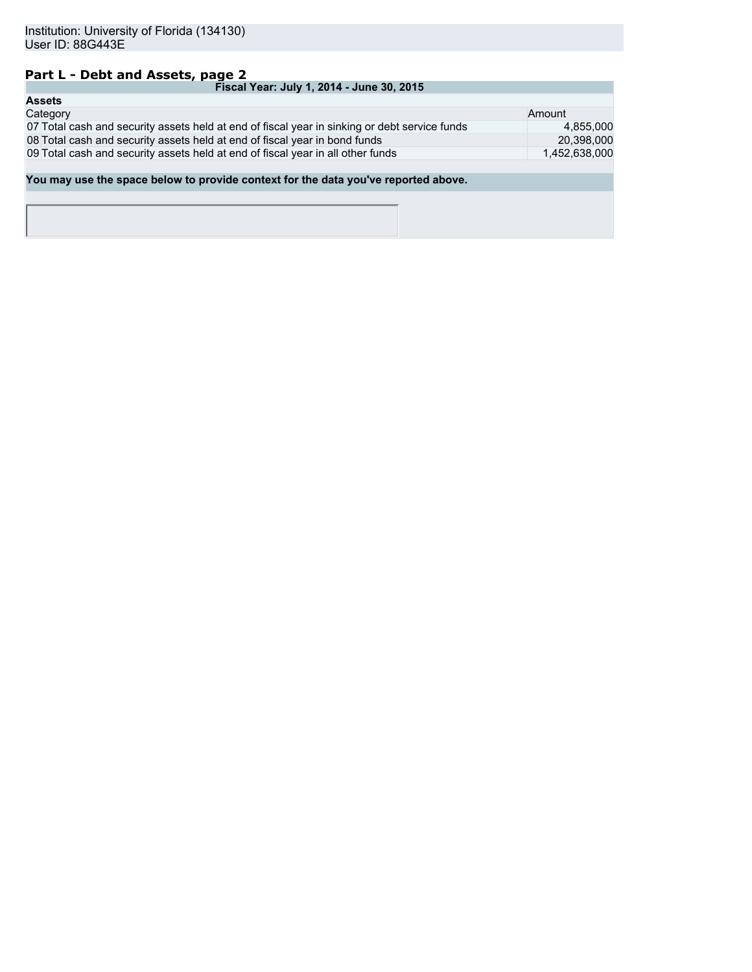## **Part L - Debt and Assets, page 2**

| Fiscal Year: July 1, 2014 - June 30, 2015                                                     |               |  |  |  |
|-----------------------------------------------------------------------------------------------|---------------|--|--|--|
| <b>Assets</b>                                                                                 |               |  |  |  |
| Category                                                                                      | Amount        |  |  |  |
| 07 Total cash and security assets held at end of fiscal year in sinking or debt service funds | 4.855.000     |  |  |  |
| 08 Total cash and security assets held at end of fiscal year in bond funds                    | 20,398,000    |  |  |  |
| 09 Total cash and security assets held at end of fiscal year in all other funds               | 1,452,638,000 |  |  |  |
|                                                                                               |               |  |  |  |
| You may use the space below to provide context for the data you've reported above.            |               |  |  |  |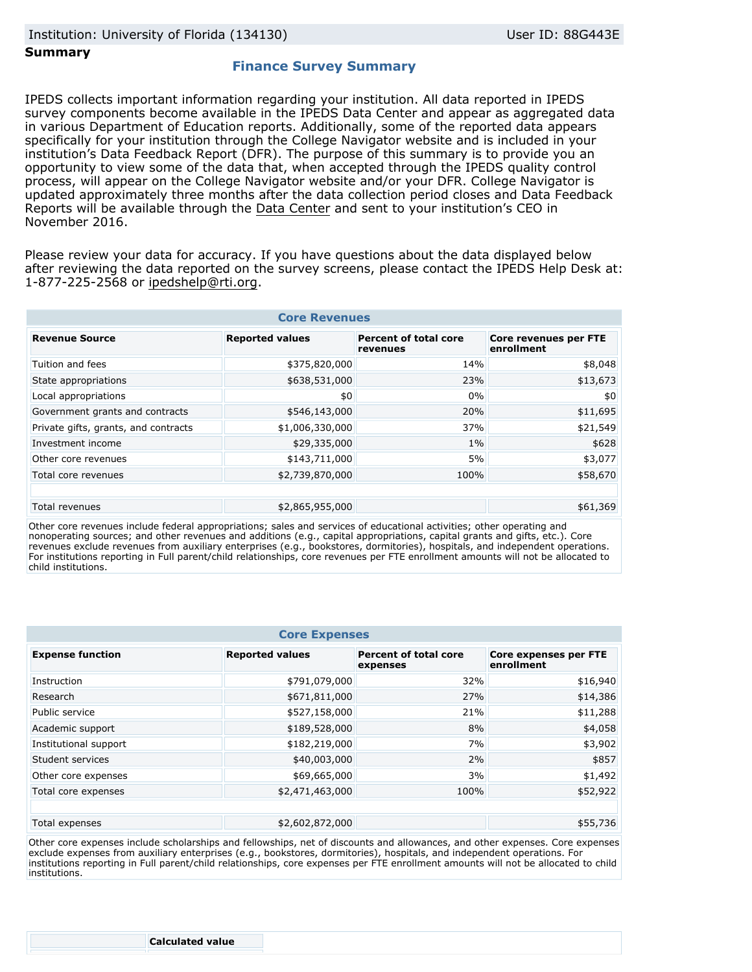### **Summary**

### **Finance Survey Summary**

IPEDS collects important information regarding your institution. All data reported in IPEDS survey components become available in the IPEDS Data Center and appear as aggregated data in various Department of Education reports. Additionally, some of the reported data appears specifically for your institution through the College Navigator website and is included in your institution's Data Feedback Report (DFR). The purpose of this summary is to provide you an opportunity to view some of the data that, when accepted through the IPEDS quality control process, will appear on the College Navigator website and/or your DFR. College Navigator is updated approximately three months after the data collection period closes and Data Feedback Reports will be available through the Data Center and sent to your institution's CEO in November 2016.

Please review your data for accuracy. If you have questions about the data displayed below after reviewing the data reported on the survey screens, please contact the IPEDS Help Desk at: 1-877-225-2568 or ipedshelp@rti.org.

| <b>Core Revenues</b>                          |                        |                                          |                                     |  |  |
|-----------------------------------------------|------------------------|------------------------------------------|-------------------------------------|--|--|
| <b>Revenue Source</b>                         | <b>Reported values</b> | <b>Percent of total core</b><br>revenues | Core revenues per FTE<br>enrollment |  |  |
| Tuition and fees                              | \$375,820,000          | 14%                                      | \$8,048                             |  |  |
| State appropriations                          | \$638,531,000          | 23%                                      | \$13,673                            |  |  |
| Local appropriations                          | \$0                    | 0%                                       | \$0                                 |  |  |
| Government grants and contracts               | \$546,143,000          | 20%                                      | \$11,695                            |  |  |
| Private gifts, grants, and contracts          | \$1,006,330,000        | 37%                                      | \$21,549                            |  |  |
| Investment income                             | \$29,335,000           | $1\%$                                    | \$628                               |  |  |
| Other core revenues                           | \$143,711,000          | 5%                                       | \$3,077                             |  |  |
| Total core revenues                           | \$2,739,870,000        | 100%                                     | \$58,670                            |  |  |
|                                               |                        |                                          |                                     |  |  |
| \$2,865,955,000<br>\$61,369<br>Total revenues |                        |                                          |                                     |  |  |

Other core revenues include federal appropriations; sales and services of educational activities; other operating and nonoperating sources; and other revenues and additions (e.g., capital appropriations, capital grants and gifts, etc.). Core revenues exclude revenues from auxiliary enterprises (e.g., bookstores, dormitories), hospitals, and independent operations. For institutions reporting in Full parent/child relationships, core revenues per FTE enrollment amounts will not be allocated to child institutions.

| <b>Core Expenses</b>                                                                                                                 |                 |      |          |  |  |  |
|--------------------------------------------------------------------------------------------------------------------------------------|-----------------|------|----------|--|--|--|
| <b>Expense function</b><br><b>Percent of total core</b><br><b>Reported values</b><br>Core expenses per FTE<br>enrollment<br>expenses |                 |      |          |  |  |  |
| Instruction                                                                                                                          | \$791,079,000   | 32%  | \$16,940 |  |  |  |
| Research                                                                                                                             | \$671,811,000   | 27%  | \$14,386 |  |  |  |
| Public service                                                                                                                       | \$527,158,000   | 21%  | \$11,288 |  |  |  |
| Academic support                                                                                                                     | \$189,528,000   | 8%   | \$4,058  |  |  |  |
| Institutional support                                                                                                                | \$182,219,000   | 7%   | \$3,902  |  |  |  |
| Student services                                                                                                                     | \$40,003,000    | 2%   | \$857    |  |  |  |
| Other core expenses                                                                                                                  | \$69,665,000    | 3%   | \$1,492  |  |  |  |
| Total core expenses                                                                                                                  | \$2,471,463,000 | 100% | \$52,922 |  |  |  |
|                                                                                                                                      |                 |      |          |  |  |  |
| Total expenses                                                                                                                       | \$2,602,872,000 |      | \$55,736 |  |  |  |

Other core expenses include scholarships and fellowships, net of discounts and allowances, and other expenses. Core expenses exclude expenses from auxiliary enterprises (e.g., bookstores, dormitories), hospitals, and independent operations. For institutions reporting in Full parent/child relationships, core expenses per FTE enrollment amounts will not be allocated to child institutions.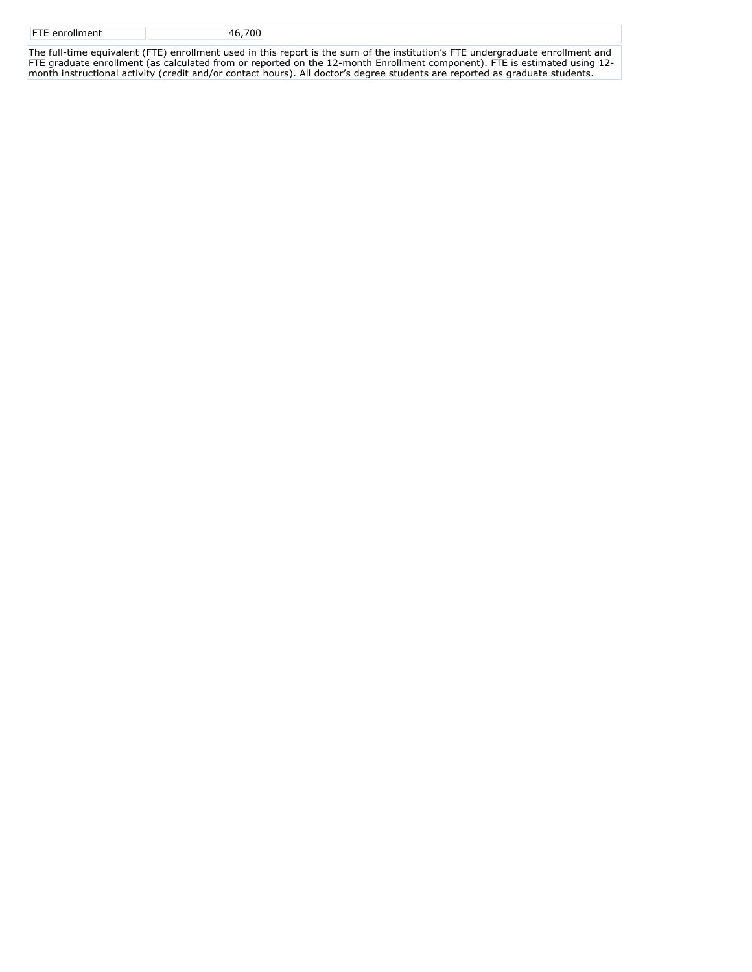| <b>FTE</b> enrollment | 700 |  |
|-----------------------|-----|--|
|                       |     |  |

The full-time equivalent (FTE) enrollment used in this report is the sum of the institution's FTE undergraduate enrollment and FTE graduate enrollment (as calculated from or reported on the 12-month Enrollment component). FTE is estimated using 12 month instructional activity (credit and/or contact hours). All doctor's degree students are reported as graduate students.